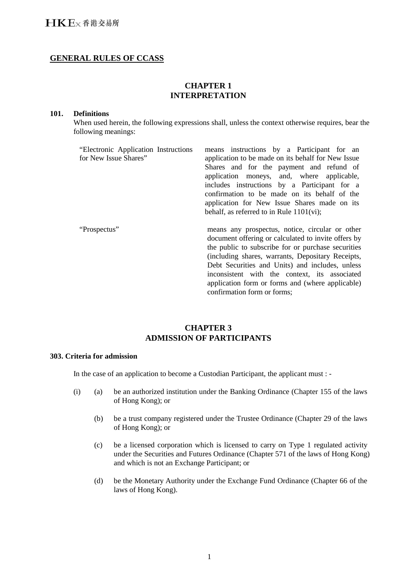# **GENERAL RULES OF CCASS**

# **CHAPTER 1 INTERPRETATION**

#### **101. Definitions**

When used herein, the following expressions shall, unless the context otherwise requires, bear the following meanings:

| "Electronic Application Instructions<br>for New Issue Shares" | means instructions by a Participant for an<br>application to be made on its behalf for New Issue                                                                                                                                                                     |
|---------------------------------------------------------------|----------------------------------------------------------------------------------------------------------------------------------------------------------------------------------------------------------------------------------------------------------------------|
|                                                               | Shares and for the payment and refund of<br>application moneys, and, where applicable,<br>includes instructions by a Participant for a                                                                                                                               |
|                                                               | confirmation to be made on its behalf of the<br>application for New Issue Shares made on its                                                                                                                                                                         |
|                                                               | behalf, as referred to in Rule $1101(vi)$ ;                                                                                                                                                                                                                          |
| "Prospectus"                                                  | means any prospectus, notice, circular or other<br>document offering or calculated to invite offers by<br>the public to subscribe for or purchase securities<br>(including shares, warrants, Depositary Receipts,<br>Debt Securities and Units) and includes, unless |
|                                                               | inconsistent with the context, its associated<br>application form or forms and (where applicable)<br>confirmation form or forms:                                                                                                                                     |

# **CHAPTER 3 ADMISSION OF PARTICIPANTS**

#### **303. Criteria for admission**

In the case of an application to become a Custodian Participant, the applicant must : -

- (i) (a) be an authorized institution under the Banking Ordinance (Chapter 155 of the laws of Hong Kong); or
	- (b) be a trust company registered under the Trustee Ordinance (Chapter 29 of the laws of Hong Kong); or
	- (c) be a licensed corporation which is licensed to carry on Type 1 regulated activity under the Securities and Futures Ordinance (Chapter 571 of the laws of Hong Kong) and which is not an Exchange Participant; or
	- (d) be the Monetary Authority under the Exchange Fund Ordinance (Chapter 66 of the laws of Hong Kong).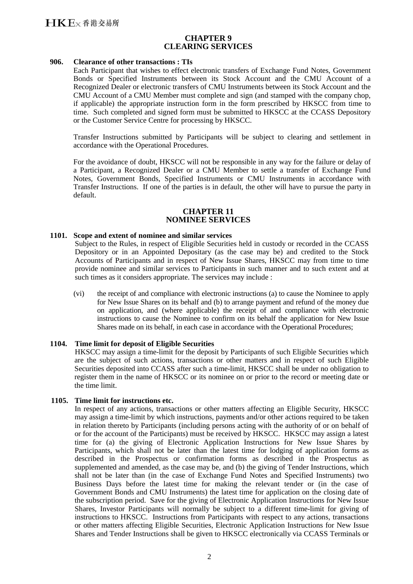# **CHAPTER 9 CLEARING SERVICES**

## **906. Clearance of other transactions : TIs**

Each Participant that wishes to effect electronic transfers of Exchange Fund Notes, Government Bonds or Specified Instruments between its Stock Account and the CMU Account of a Recognized Dealer or electronic transfers of CMU Instruments between its Stock Account and the CMU Account of a CMU Member must complete and sign (and stamped with the company chop, if applicable) the appropriate instruction form in the form prescribed by HKSCC from time to time. Such completed and signed form must be submitted to HKSCC at the CCASS Depository or the Customer Service Centre for processing by HKSCC.

Transfer Instructions submitted by Participants will be subject to clearing and settlement in accordance with the Operational Procedures.

For the avoidance of doubt, HKSCC will not be responsible in any way for the failure or delay of a Participant, a Recognized Dealer or a CMU Member to settle a transfer of Exchange Fund Notes, Government Bonds, Specified Instruments or CMU Instruments in accordance with Transfer Instructions. If one of the parties is in default, the other will have to pursue the party in default.

# **CHAPTER 11 NOMINEE SERVICES**

#### **1101. Scope and extent of nominee and similar services**

Subject to the Rules, in respect of Eligible Securities held in custody or recorded in the CCASS Depository or in an Appointed Depositary (as the case may be) and credited to the Stock Accounts of Participants and in respect of New Issue Shares, HKSCC may from time to time provide nominee and similar services to Participants in such manner and to such extent and at such times as it considers appropriate. The services may include :

(vi) the receipt of and compliance with electronic instructions (a) to cause the Nominee to apply for New Issue Shares on its behalf and (b) to arrange payment and refund of the money due on application, and (where applicable) the receipt of and compliance with electronic instructions to cause the Nominee to confirm on its behalf the application for New Issue Shares made on its behalf, in each case in accordance with the Operational Procedures;

#### **1104. Time limit for deposit of Eligible Securities**

HKSCC may assign a time-limit for the deposit by Participants of such Eligible Securities which are the subject of such actions, transactions or other matters and in respect of such Eligible Securities deposited into CCASS after such a time-limit, HKSCC shall be under no obligation to register them in the name of HKSCC or its nominee on or prior to the record or meeting date or the time limit.

#### **1105. Time limit for instructions etc.**

In respect of any actions, transactions or other matters affecting an Eligible Security, HKSCC may assign a time-limit by which instructions, payments and/or other actions required to be taken in relation thereto by Participants (including persons acting with the authority of or on behalf of or for the account of the Participants) must be received by HKSCC. HKSCC may assign a latest time for (a) the giving of Electronic Application Instructions for New Issue Shares by Participants, which shall not be later than the latest time for lodging of application forms as described in the Prospectus or confirmation forms as described in the Prospectus as supplemented and amended, as the case may be, and (b) the giving of Tender Instructions, which shall not be later than (in the case of Exchange Fund Notes and Specified Instruments) two Business Days before the latest time for making the relevant tender or (in the case of Government Bonds and CMU Instruments) the latest time for application on the closing date of the subscription period. Save for the giving of Electronic Application Instructions for New Issue Shares, Investor Participants will normally be subject to a different time-limit for giving of instructions to HKSCC. Instructions from Participants with respect to any actions, transactions or other matters affecting Eligible Securities, Electronic Application Instructions for New Issue Shares and Tender Instructions shall be given to HKSCC electronically via CCASS Terminals or